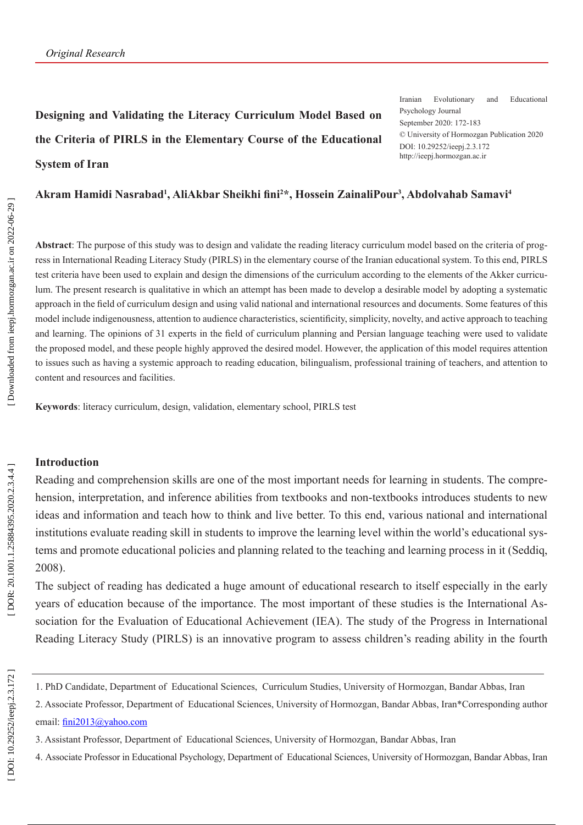# **Designing and Validating the Literacy Curriculum Model Based on the Criteria of PIRLS in the Elementary Course of the Educational System of Iran**

Iranian Evolutionary and Educational Psychology Journal September 2020: 172-183 © University of Hormozgan Publication 2020 DOI: 10.29252/ieepj.2.3.172 http://ieepj.hormozgan.ac.ir

# **Akram Hamidi Nasrabad 1 , AliAkbar Sheikhi fini 2 \*, Hossein ZainaliPour 3 , Abdolvahab Samavi 4**

**Abstract**: The purpose of this study was to design and validate the reading literacy curriculum model based on the criteria of prog ress in International Reading Literacy Study (PIRLS) in the elementary course of the Iranian educational system. To this end, PIRLS test criteria have been used to explain and design the dimensions of the curriculum according to the elements of the Akker curricu lum. The present research is qualitative in which an attempt has been made to develop a desirable model by adopting a systematic approach in the field of curriculum design and using valid national and international resources and documents. Some features of this model include indigenousness, attention to audience characteristics, scientificity, simplicity, novelty, and active approach to teaching and learning. The opinions of 31 experts in the field of curriculum planning and Persian language teaching were used to validate the proposed model, and these people highly approved the desired model. However, the application of this model requires attention to issues such as having a systemic approach to reading education, bilingualism, professional training of teachers, and attention to content and resources and facilities.

**Keywords**: literacy curriculum, design, validation, elementary school, PIRLS test

#### **Introduction**

Reading and comprehension skills are one of the most important needs for learning in students. The compre hension, interpretation, and inference abilities from textbooks and non-textbooks introduces students to new ideas and information and teach how to think and live better. To this end, various national and international institutions evaluate reading skill in students to improve the learning level within the world's educational sys tems and promote educational policies and planning related to the teaching and learning process in it (Seddiq, 2008).

The subject of reading has dedicated a huge amount of educational research to itself especially in the early years of education because of the importance. The most important of these studies is the International As sociation for the Evaluation of Educational Achievement (IEA). The study of the Progress in International Reading Literacy Study (PIRLS) is an innovative program to assess children's reading ability in the fourth

<sup>1.</sup> PhD Candidate, Department of Educational Sciences, Curriculum Studies, University of Hormozgan, Bandar Abbas, Iran

<sup>2.</sup> Associate Professor, Department of Educational Sciences, University of Hormozgan, Bandar Abbas, Iran\*Corresponding author email: fini2013@yahoo.com

<sup>3.</sup> Assistant Professor, Department of Educational Sciences, University of Hormozgan, Bandar Abbas, Iran

<sup>4.</sup> Associate Professor in Educational Psychology, Department of Educational Sciences, University of Hormozgan, Bandar Abbas, Iran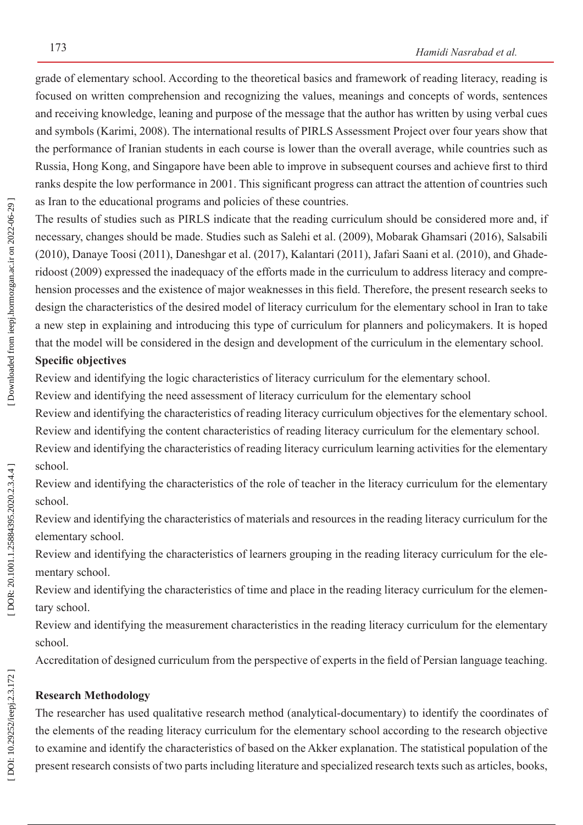grade of elementary school. According to the theoretical basics and framework of reading literacy, reading is focused on written comprehension and recognizing the values, meanings and concepts of words, sentences and receiving knowledge, leaning and purpose of the message that the author has written by using verbal cues and symbols (Karimi, 2008). The international results of PIRLS Assessment Project over four years show that the performance of Iranian students in each course is lower than the overall average, while countries such as Russia, Hong Kong, and Singapore have been able to improve in subsequent courses and achieve first to third ranks despite the low performance in 2001. This significant progress can attract the attention of countries such as Iran to the educational programs and policies of these countries.

The results of studies such as PIRLS indicate that the reading curriculum should be considered more and, if necessary, changes should be made. Studies such as Salehi et al. (2009), Mobarak Ghamsari (2016), Salsabili (2010), Danaye Toosi (2011), Daneshgar et al. (2017), Kalantari (2011), Jafari Saani et al. (2010), and Ghade ridoost (2009) expressed the inadequacy of the efforts made in the curriculum to address literacy and compre hension processes and the existence of major weaknesses in this field. Therefore, the present research seeks to design the characteristics of the desired model of literacy curriculum for the elementary school in Iran to take a new step in explaining and introducing this type of curriculum for planners and policymakers. It is hoped that the model will be considered in the design and development of the curriculum in the elementary school. **Specific objectives**

Review and identifying the logic characteristics of literacy curriculum for the elementary school.

Review and identifying the need assessment of literacy curriculum for the elementary school

Review and identifying the characteristics of reading literacy curriculum objectives for the elementary school. Review and identifying the content characteristics of reading literacy curriculum for the elementary school. Review and identifying the characteristics of reading literacy curriculum learning activities for the elementary

school.

Review and identifying the characteristics of the role of teacher in the literacy curriculum for the elementary school.

Review and identifying the characteristics of materials and resources in the reading literacy curriculum for the elementary school.

Review and identifying the characteristics of learners grouping in the reading literacy curriculum for the ele mentary school.

Review and identifying the characteristics of time and place in the reading literacy curriculum for the elemen tary school.

Review and identifying the measurement characteristics in the reading literacy curriculum for the elementary school.

Accreditation of designed curriculum from the perspective of experts in the field of Persian language teaching.

# **Research Methodology**

The researcher has used qualitative research method (analytical-documentary) to identify the coordinates of the elements of the reading literacy curriculum for the elementary school according to the research objective to examine and identify the characteristics of based on the Akker explanation. The statistical population of the present research consists of two parts including literature and specialized research texts such as articles, books,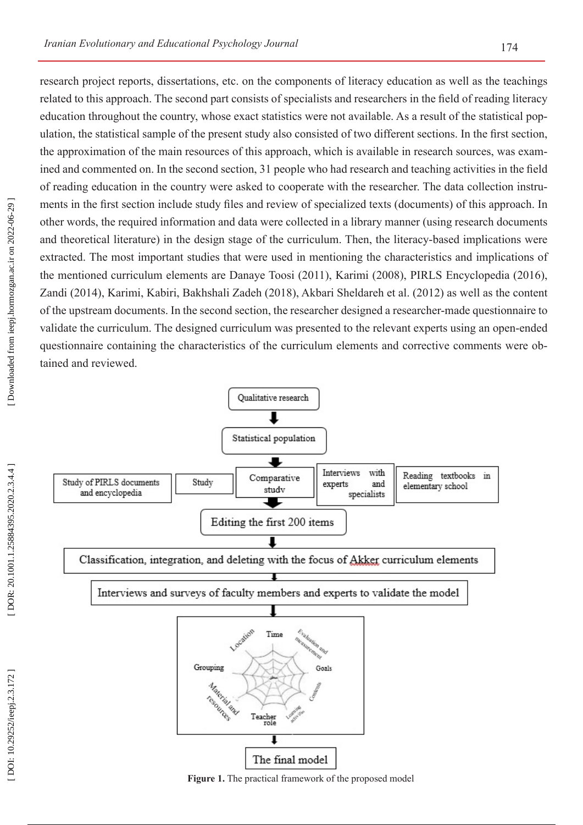research project reports, dissertations, etc. on the components of literacy education as well as the teachings related to this approach. The second part consists of specialists and researchers in the field of reading literacy education throughout the country, whose exact statistics were not available. As a result of the statistical pop ulation, the statistical sample of the present study also consisted of two different sections. In the first section, the approximation of the main resources of this approach, which is available in research sources, was exam ined and commented on. In the second section, 31 people who had research and teaching activities in the field of reading education in the country were asked to cooperate with the researcher. The data collection instru ments in the first section include study files and review of specialized texts (documents) of this approach. In other words, the required information and data were collected in a library manner (using research documents and theoretical literature) in the design stage of the curriculum. Then, the literacy-based implications were extracted. The most important studies that were used in mentioning the characteristics and implications of the mentioned curriculum elements are Danaye Toosi (2011), Karimi (2008), PIRLS Encyclopedia (2016), Zandi (2014), Karimi, Kabiri, Bakhshali Zadeh (2018), Akbari Sheldareh et al. (2012) as well as the content of the upstream documents. In the second section, the researcher designed a researcher-made questionnaire to validate the curriculum. The designed curriculum was presented to the relevant experts using an open-ended questionnaire containing the characteristics of the curriculum elements and corrective comments were ob -



**Figure 1.** The practical framework of the proposed model

tained and reviewed.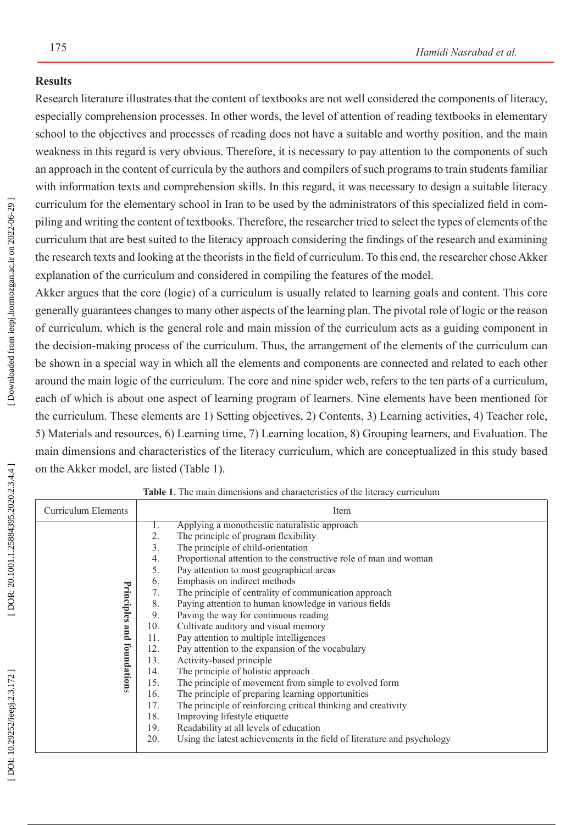#### **Results**

Research literature illustrates that the content of textbooks are not well considered the components of literacy, especially comprehension processes. In other words, the level of attention of reading textbooks in elementary school to the objectives and processes of reading does not have a suitable and worthy position, and the main weakness in this regard is very obvious. Therefore, it is necessary to pay attention to the components of such an approach in the content of curricula by the authors and compilers of such programs to train students familiar with information texts and comprehension skills. In this regard, it was necessary to design a suitable literacy curriculum for the elementary school in Iran to be used by the administrators of this specialized field in com piling and writing the content of textbooks. Therefore, the researcher tried to select the types of elements of the curriculum that are best suited to the literacy approach considering the findings of the research and examining the research texts and looking at the theorists in the field of curriculum. To this end, the researcher chose Akker explanation of the curriculum and considered in compiling the features of the model.

Akker argues that the core (logic) of a curriculum is usually related to learning goals and content. This core generally guarantees changes to many other aspects of the learning plan. The pivotal role of logic or the reason of curriculum, which is the general role and main mission of the curriculum acts as a guiding component in the decision-making process of the curriculum. Thus, the arrangement of the elements of the curriculum can be shown in a special way in which all the elements and components are connected and related to each other around the main logic of the curriculum. The core and nine spider web, refers to the ten parts of a curriculum, each of which is about one aspect of learning program of learners. Nine elements have been mentioned for the curriculum. These elements are 1) Setting objectives, 2) Contents, 3) Learning activities, 4) Teacher role, 5) Materials and resources, 6) Learning time, 7) Learning location, 8) Grouping learners, and Evaluation. The main dimensions and characteristics of the literacy curriculum, which are conceptualized in this study based on the Akker model, are listed (Table 1).

| <b>Curriculum Elements</b>       | Item                                                                                                                            |
|----------------------------------|---------------------------------------------------------------------------------------------------------------------------------|
| Principles<br>and<br>foundations | Applying a monotheistic naturalistic approach<br>1.<br>The principle of program flexibility<br>2.                               |
|                                  | 3.<br>The principle of child-orientation<br>Proportional attention to the constructive role of man and woman<br>4.              |
|                                  | 5.<br>Pay attention to most geographical areas<br>Emphasis on indirect methods<br>6.                                            |
|                                  | The principle of centrality of communication approach<br>7.<br>Paying attention to human knowledge in various fields<br>8.      |
|                                  | Paving the way for continuous reading<br>9.<br>Cultivate auditory and visual memory<br>10.                                      |
|                                  | Pay attention to multiple intelligences<br>11.<br>Pay attention to the expansion of the vocabulary<br>12.                       |
|                                  | Activity-based principle<br>13.<br>The principle of holistic approach<br>14.                                                    |
|                                  | The principle of movement from simple to evolved form<br>15.<br>The principle of preparing learning opportunities<br>16.        |
|                                  | The principle of reinforcing critical thinking and creativity<br>17.<br>Improving lifestyle etiquette<br>18.                    |
|                                  | Readability at all levels of education<br>19.<br>Using the latest achievements in the field of literature and psychology<br>20. |

**Table 1**. The main dimensions and characteristics of the literacy curriculum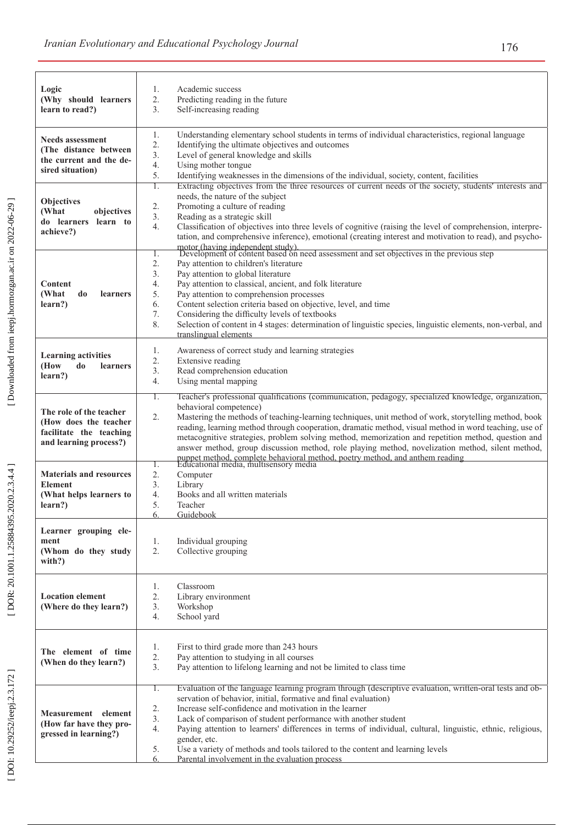| Logic<br>(Why should learners<br>learn to read?)                                                      | 1.<br>Academic success<br>2.<br>Predicting reading in the future<br>3.<br>Self-increasing reading                                                                                                                                                                                                                                                                                                                                                                                                                                                                                                                                                                                               |
|-------------------------------------------------------------------------------------------------------|-------------------------------------------------------------------------------------------------------------------------------------------------------------------------------------------------------------------------------------------------------------------------------------------------------------------------------------------------------------------------------------------------------------------------------------------------------------------------------------------------------------------------------------------------------------------------------------------------------------------------------------------------------------------------------------------------|
| <b>Needs assessment</b><br>(The distance between<br>the current and the de-<br>sired situation)       | 1.<br>Understanding elementary school students in terms of individual characteristics, regional language<br>2.<br>Identifying the ultimate objectives and outcomes<br>3.<br>Level of general knowledge and skills<br>$\overline{4}$ .<br>Using mother tongue<br>5.<br>Identifying weaknesses in the dimensions of the individual, society, content, facilities                                                                                                                                                                                                                                                                                                                                  |
| <b>Objectives</b><br>(What<br>objectives<br>do learners learn to<br>achieve?)                         | Extracting objectives from the three resources of current needs of the society, students' interests and<br>1.<br>needs, the nature of the subject<br>Promoting a culture of reading<br>2.<br>3.<br>Reading as a strategic skill<br>$\overline{4}$ .<br>Classification of objectives into three levels of cognitive (raising the level of comprehension, interpre-<br>tation, and comprehensive inference), emotional (creating interest and motivation to read), and psycho-                                                                                                                                                                                                                    |
| Content<br>(What<br>do<br><b>learners</b><br>learn?)                                                  | motor (having independent study).<br>Development of content based on need assessment and set objectives in the previous step<br>Ι.<br>2.<br>Pay attention to children's literature<br>3.<br>Pay attention to global literature<br>Pay attention to classical, ancient, and folk literature<br>4.<br>5.<br>Pay attention to comprehension processes<br>6.<br>Content selection criteria based on objective, level, and time<br>7.<br>Considering the difficulty levels of textbooks<br>8.<br>Selection of content in 4 stages: determination of linguistic species, linguistic elements, non-verbal, and<br>translingual elements                                                                |
| <b>Learning activities</b><br>(How<br>do<br><b>learners</b><br>learn?)                                | Awareness of correct study and learning strategies<br>1.<br>$\overline{2}$ .<br>Extensive reading<br>$\overline{3}$ .<br>Read comprehension education<br>$\overline{4}$ .<br>Using mental mapping                                                                                                                                                                                                                                                                                                                                                                                                                                                                                               |
| The role of the teacher<br>(How does the teacher<br>facilitate the teaching<br>and learning process?) | Teacher's professional qualifications (communication, pedagogy, specialized knowledge, organization,<br>1.<br>behavioral competence)<br>Mastering the methods of teaching-learning techniques, unit method of work, storytelling method, book<br>2.<br>reading, learning method through cooperation, dramatic method, visual method in word teaching, use of<br>metacognitive strategies, problem solving method, memorization and repetition method, question and<br>answer method, group discussion method, role playing method, novelization method, silent method,<br>puppet method, complete behavioral method, poetry method, and anthem reading<br>Educational media, multisensory media |
| <b>Materials and resources</b><br><b>Element</b><br>(What helps learners to<br>learn?)                | 1.<br>2.<br>Computer<br>3.<br>Library<br>4.<br>Books and all written materials<br>5.<br>Teacher<br>Guidebook<br>6.                                                                                                                                                                                                                                                                                                                                                                                                                                                                                                                                                                              |
| Learner grouping ele-<br>ment<br>(Whom do they study<br>with?)                                        | 1.<br>Individual grouping<br>2.<br>Collective grouping                                                                                                                                                                                                                                                                                                                                                                                                                                                                                                                                                                                                                                          |
| <b>Location element</b><br>(Where do they learn?)                                                     | Classroom<br>1.<br>2.<br>Library environment<br>3.<br>Workshop<br>4.<br>School yard                                                                                                                                                                                                                                                                                                                                                                                                                                                                                                                                                                                                             |
| The element of time<br>(When do they learn?)                                                          | First to third grade more than 243 hours<br>1.<br>2.<br>Pay attention to studying in all courses<br>3.<br>Pay attention to lifelong learning and not be limited to class time                                                                                                                                                                                                                                                                                                                                                                                                                                                                                                                   |
| Measurement element<br>(How far have they pro-<br>gressed in learning?)                               | Evaluation of the language learning program through (descriptive evaluation, written-oral tests and ob-<br>1.<br>servation of behavior, initial, formative and final evaluation)<br>Increase self-confidence and motivation in the learner<br>2.<br>3.<br>Lack of comparison of student performance with another student<br>4.<br>Paying attention to learners' differences in terms of individual, cultural, linguistic, ethnic, religious,<br>gender, etc.<br>Use a variety of methods and tools tailored to the content and learning levels<br>5.<br>Parental involvement in the evaluation process<br>6.                                                                                    |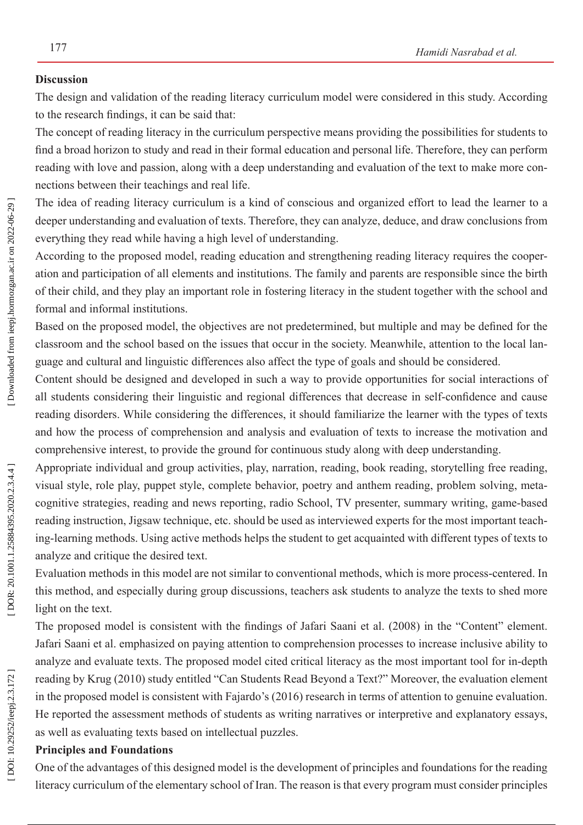#### **Discussion**

The design and validation of the reading literacy curriculum model were considered in this study. According to the research findings, it can be said that:

The concept of reading literacy in the curriculum perspective means providing the possibilities for students to find a broad horizon to study and read in their formal education and personal life. Therefore, they can perform reading with love and passion, along with a deep understanding and evaluation of the text to make more con nections between their teachings and real life.

The idea of reading literacy curriculum is a kind of conscious and organized effort to lead the learner to a deeper understanding and evaluation of texts. Therefore, they can analyze, deduce, and draw conclusions from everything they read while having a high level of understanding.

According to the proposed model, reading education and strengthening reading literacy requires the cooper ation and participation of all elements and institutions. The family and parents are responsible since the birth of their child, and they play an important role in fostering literacy in the student together with the school and formal and informal institutions.

Based on the proposed model, the objectives are not predetermined, but multiple and may be defined for the classroom and the school based on the issues that occur in the society. Meanwhile, attention to the local lan guage and cultural and linguistic differences also affect the type of goals and should be considered.

Content should be designed and developed in such a way to provide opportunities for social interactions of all students considering their linguistic and regional differences that decrease in self-confidence and cause reading disorders. While considering the differences, it should familiarize the learner with the types of texts and how the process of comprehension and analysis and evaluation of texts to increase the motivation and comprehensive interest, to provide the ground for continuous study along with deep understanding.

Appropriate individual and group activities, play, narration, reading, book reading, storytelling free reading, visual style, role play, puppet style, complete behavior, poetry and anthem reading, problem solving, meta cognitive strategies, reading and news reporting, radio School, TV presenter, summary writing, game-based reading instruction, Jigsaw technique, etc. should be used as interviewed experts for the most important teach ing-learning methods. Using active methods helps the student to get acquainted with different types of texts to analyze and critique the desired text.

Evaluation methods in this model are not similar to conventional methods, which is more process-centered. In this method, and especially during group discussions, teachers ask students to analyze the texts to shed more light on the text.

The proposed model is consistent with the findings of Jafari Saani et al. (2008) in the "Content" element. Jafari Saani et al. emphasized on paying attention to comprehension processes to increase inclusive ability to analyze and evaluate texts. The proposed model cited critical literacy as the most important tool for in-depth reading by Krug (2010) study entitled "Can Students Read Beyond a Text?" Moreover, the evaluation element in the proposed model is consistent with Fajardo's (2016) research in terms of attention to genuine evaluation. He reported the assessment methods of students as writing narratives or interpretive and explanatory essays, as well as evaluating texts based on intellectual puzzles.

### **Principles and Foundations**

One of the advantages of this designed model is the development of principles and foundations for the reading literacy curriculum of the elementary school of Iran. The reason is that every program must consider principles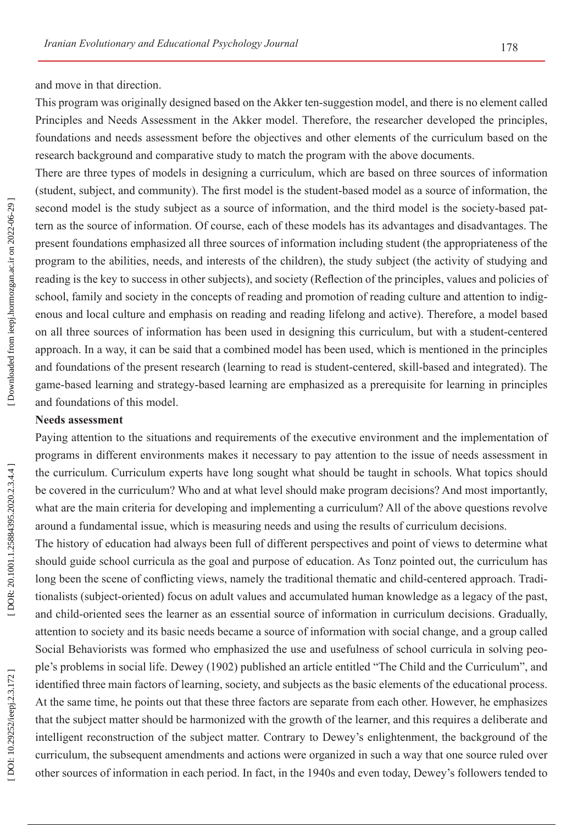and move in that direction.

This program was originally designed based on the Akker ten-suggestion model, and there is no element called Principles and Needs Assessment in the Akker model. Therefore, the researcher developed the principles, foundations and needs assessment before the objectives and other elements of the curriculum based on the research background and comparative study to match the program with the above documents.

There are three types of models in designing a curriculum, which are based on three sources of information (student, subject, and community). The first model is the student-based model as a source of information, the second model is the study subject as a source of information, and the third model is the society-based pat tern as the source of information. Of course, each of these models has its advantages and disadvantages. The present foundations emphasized all three sources of information including student (the appropriateness of the program to the abilities, needs, and interests of the children), the study subject (the activity of studying and reading is the key to success in other subjects), and society (Reflection of the principles, values and policies of school, family and society in the concepts of reading and promotion of reading culture and attention to indigenous and local culture and emphasis on reading and reading lifelong and active). Therefore, a model based on all three sources of information has been used in designing this curriculum, but with a student-centered approach. In a way, it can be said that a combined model has been used, which is mentioned in the principles and foundations of the present research (learning to read is student-centered, skill-based and integrated). The game-based learning and strategy-based learning are emphasized as a prerequisite for learning in principles and foundations of this model.

#### **Needs assessment**

Paying attention to the situations and requirements of the executive environment and the implementation of programs in different environments makes it necessary to pay attention to the issue of needs assessment in the curriculum. Curriculum experts have long sought what should be taught in schools. What topics should be covered in the curriculum? Who and at what level should make program decisions? And most importantly, what are the main criteria for developing and implementing a curriculum? All of the above questions revolve around a fundamental issue, which is measuring needs and using the results of curriculum decisions.

The history of education had always been full of different perspectives and point of views to determine what should guide school curricula as the goal and purpose of education. As Tonz pointed out, the curriculum has long been the scene of conflicting views, namely the traditional thematic and child-centered approach. Tradi tionalists (subject-oriented) focus on adult values and accumulated human knowledge as a legacy of the past, and child-oriented sees the learner as an essential source of information in curriculum decisions. Gradually, attention to society and its basic needs became a source of information with social change, and a group called Social Behaviorists was formed who emphasized the use and usefulness of school curricula in solving peo ple's problems in social life. Dewey (1902) published an article entitled "The Child and the Curriculum", and identified three main factors of learning, society, and subjects as the basic elements of the educational process. At the same time, he points out that these three factors are separate from each other. However, he emphasizes that the subject matter should be harmonized with the growth of the learner, and this requires a deliberate and intelligent reconstruction of the subject matter. Contrary to Dewey's enlightenment, the background of the curriculum, the subsequent amendments and actions were organized in such a way that one source ruled over other sources of information in each period. In fact, in the 1940s and even today, Dewey's followers tended to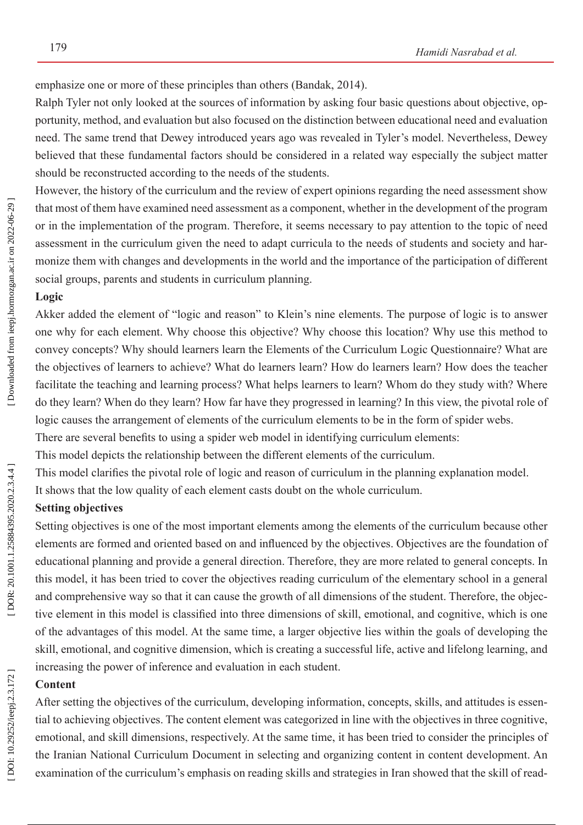emphasize one or more of these principles than others (Bandak, 2014).

Ralph Tyler not only looked at the sources of information by asking four basic questions about objective, op portunity, method, and evaluation but also focused on the distinction between educational need and evaluation need. The same trend that Dewey introduced years ago was revealed in Tyler's model. Nevertheless, Dewey believed that these fundamental factors should be considered in a related way especially the subject matter should be reconstructed according to the needs of the students.

However, the history of the curriculum and the review of expert opinions regarding the need assessment show that most of them have examined need assessment as a component, whether in the development of the program or in the implementation of the program. Therefore, it seems necessary to pay attention to the topic of need assessment in the curriculum given the need to adapt curricula to the needs of students and society and har monize them with changes and developments in the world and the importance of the participation of different social groups, parents and students in curriculum planning.

# **Logic**

Akker added the element of "logic and reason" to Klein's nine elements. The purpose of logic is to answer one why for each element. Why choose this objective? Why choose this location? Why use this method to convey concepts? Why should learners learn the Elements of the Curriculum Logic Questionnaire? What are the objectives of learners to achieve? What do learners learn? How do learners learn? How does the teacher facilitate the teaching and learning process? What helps learners to learn? Whom do they study with? Where do they learn? When do they learn? How far have they progressed in learning? In this view, the pivotal role of logic causes the arrangement of elements of the curriculum elements to be in the form of spider webs.

There are several benefits to using a spider web model in identifying curriculum elements:

This model depicts the relationship between the different elements of the curriculum.

This model clarifies the pivotal role of logic and reason of curriculum in the planning explanation model.

It shows that the low quality of each element casts doubt on the whole curriculum.

#### **Setting objectives**

Setting objectives is one of the most important elements among the elements of the curriculum because other elements are formed and oriented based on and influenced by the objectives. Objectives are the foundation of educational planning and provide a general direction. Therefore, they are more related to general concepts. In this model, it has been tried to cover the objectives reading curriculum of the elementary school in a general and comprehensive way so that it can cause the growth of all dimensions of the student. Therefore, the objec tive element in this model is classified into three dimensions of skill, emotional, and cognitive, which is one of the advantages of this model. At the same time, a larger objective lies within the goals of developing the skill, emotional, and cognitive dimension, which is creating a successful life, active and lifelong learning, and increasing the power of inference and evaluation in each student.

# **Content**

After setting the objectives of the curriculum, developing information, concepts, skills, and attitudes is essen tial to achieving objectives. The content element was categorized in line with the objectives in three cognitive, emotional, and skill dimensions, respectively. At the same time, it has been tried to consider the principles of the Iranian National Curriculum Document in selecting and organizing content in content development. An examination of the curriculum's emphasis on reading skills and strategies in Iran showed that the skill of read -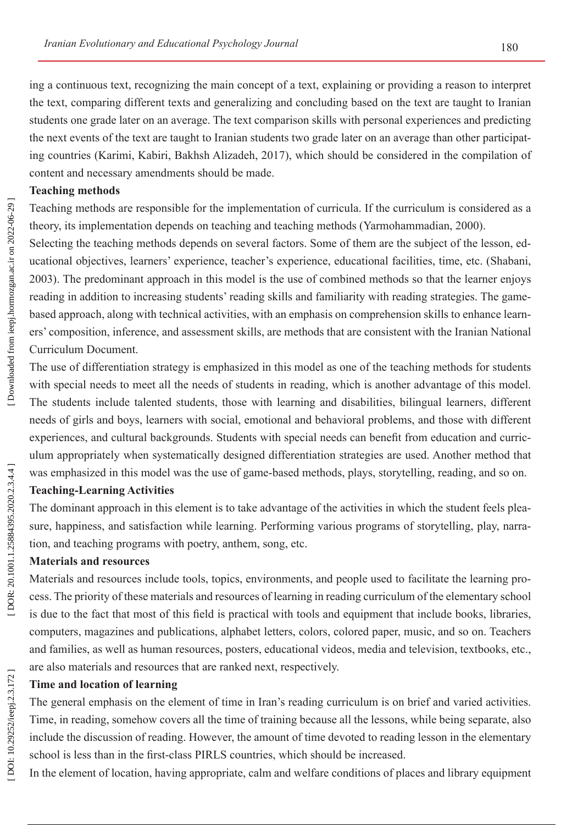ing a continuous text, recognizing the main concept of a text, explaining or providing a reason to interpret the text, comparing different texts and generalizing and concluding based on the text are taught to Iranian students one grade later on an average. The text comparison skills with personal experiences and predicting the next events of the text are taught to Iranian students two grade later on an average than other participat ing countries (Karimi, Kabiri, Bakhsh Alizadeh, 2017), which should be considered in the compilation of content and necessary amendments should be made.

# **Teaching methods**

Teaching methods are responsible for the implementation of curricula. If the curriculum is considered as a theory, its implementation depends on teaching and teaching methods (Yarmohammadian, 2000).

Selecting the teaching methods depends on several factors. Some of them are the subject of the lesson, ed ucational objectives, learners' experience, teacher's experience, educational facilities, time, etc. (Shabani, 2003). The predominant approach in this model is the use of combined methods so that the learner enjoys reading in addition to increasing students' reading skills and familiarity with reading strategies. The gamebased approach, along with technical activities, with an emphasis on comprehension skills to enhance learners' composition, inference, and assessment skills, are methods that are consistent with the Iranian National Curriculum Document.

The use of differentiation strategy is emphasized in this model as one of the teaching methods for students with special needs to meet all the needs of students in reading, which is another advantage of this model. The students include talented students, those with learning and disabilities, bilingual learners, different needs of girls and boys, learners with social, emotional and behavioral problems, and those with different experiences, and cultural backgrounds. Students with special needs can benefit from education and curric ulum appropriately when systematically designed differentiation strategies are used. Another method that was emphasized in this model was the use of game-based methods, plays, storytelling, reading, and so on.

# **Teaching-Learning Activities**

The dominant approach in this element is to take advantage of the activities in which the student feels plea sure, happiness, and satisfaction while learning. Performing various programs of storytelling, play, narra tion, and teaching programs with poetry, anthem, song, etc.

# **Materials and resources**

Materials and resources include tools, topics, environments, and people used to facilitate the learning pro cess. The priority of these materials and resources of learning in reading curriculum of the elementary school is due to the fact that most of this field is practical with tools and equipment that include books, libraries, computers, magazines and publications, alphabet letters, colors, colored paper, music, and so on. Teachers and families, as well as human resources, posters, educational videos, media and television, textbooks, etc., are also materials and resources that are ranked next, respectively.

# **Time and location of learning**

The general emphasis on the element of time in Iran's reading curriculum is on brief and varied activities. Time, in reading, somehow covers all the time of training because all the lessons, while being separate, also include the discussion of reading. However, the amount of time devoted to reading lesson in the elementary school is less than in the first-class PIRLS countries, which should be increased.

In the element of location, having appropriate, calm and welfare conditions of places and library equipment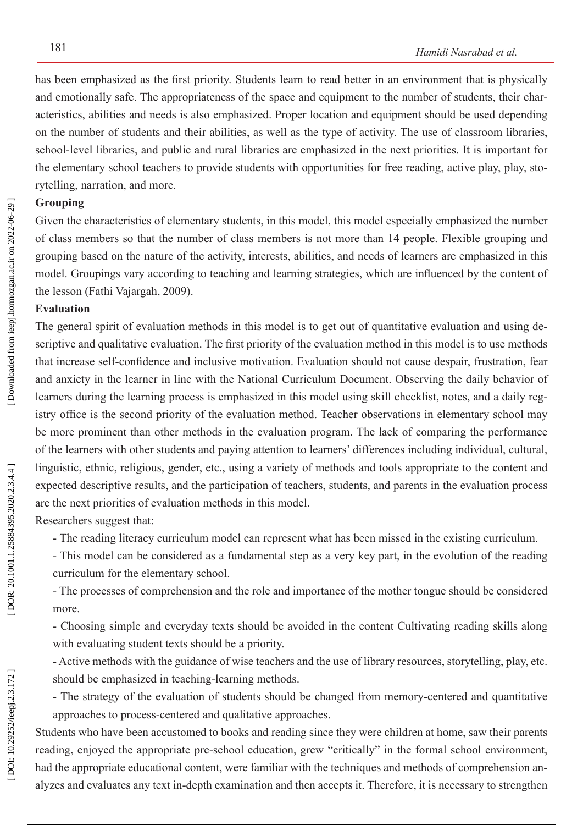has been emphasized as the first priority. Students learn to read better in an environment that is physically and emotionally safe. The appropriateness of the space and equipment to the number of students, their char acteristics, abilities and needs is also emphasized. Proper location and equipment should be used depending on the number of students and their abilities, as well as the type of activity. The use of classroom libraries, school-level libraries, and public and rural libraries are emphasized in the next priorities. It is important for the elementary school teachers to provide students with opportunities for free reading, active play, play, sto rytelling, narration, and more.

# **Grouping**

Given the characteristics of elementary students, in this model, this model especially emphasized the number of class members so that the number of class members is not more than 14 people. Flexible grouping and grouping based on the nature of the activity, interests, abilities, and needs of learners are emphasized in this model. Groupings vary according to teaching and learning strategies, which are influenced by the content of the lesson (Fathi Vajargah, 2009).

# **Evaluation**

The general spirit of evaluation methods in this model is to get out of quantitative evaluation and using descriptive and qualitative evaluation. The first priority of the evaluation method in this model is to use methods that increase self-confidence and inclusive motivation. Evaluation should not cause despair, frustration, fear and anxiety in the learner in line with the National Curriculum Document. Observing the daily behavior of learners during the learning process is emphasized in this model using skill checklist, notes, and a daily registry office is the second priority of the evaluation method. Teacher observations in elementary school may be more prominent than other methods in the evaluation program. The lack of comparing the performance of the learners with other students and paying attention to learners' differences including individual, cultural, linguistic, ethnic, religious, gender, etc., using a variety of methods and tools appropriate to the content and expected descriptive results, and the participation of teachers, students, and parents in the evaluation process are the next priorities of evaluation methods in this model.

Researchers suggest that:

- The reading literacy curriculum model can represent what has been missed in the existing curriculum.

- This model can be considered as a fundamental step as a very key part, in the evolution of the reading curriculum for the elementary school.

- The processes of comprehension and the role and importance of the mother tongue should be considered more.

- Choosing simple and everyday texts should be avoided in the content Cultivating reading skills along with evaluating student texts should be a priority.

- Active methods with the guidance of wise teachers and the use of library resources, storytelling, play, etc. should be emphasized in teaching-learning methods.

- The strategy of the evaluation of students should be changed from memory-centered and quantitative approaches to process-centered and qualitative approaches.

Students who have been accustomed to books and reading since they were children at home, saw their parents reading, enjoyed the appropriate pre-school education, grew "critically" in the formal school environment, had the appropriate educational content, were familiar with the techniques and methods of comprehension analyzes and evaluates any text in-depth examination and then accepts it. Therefore, it is necessary to strengthen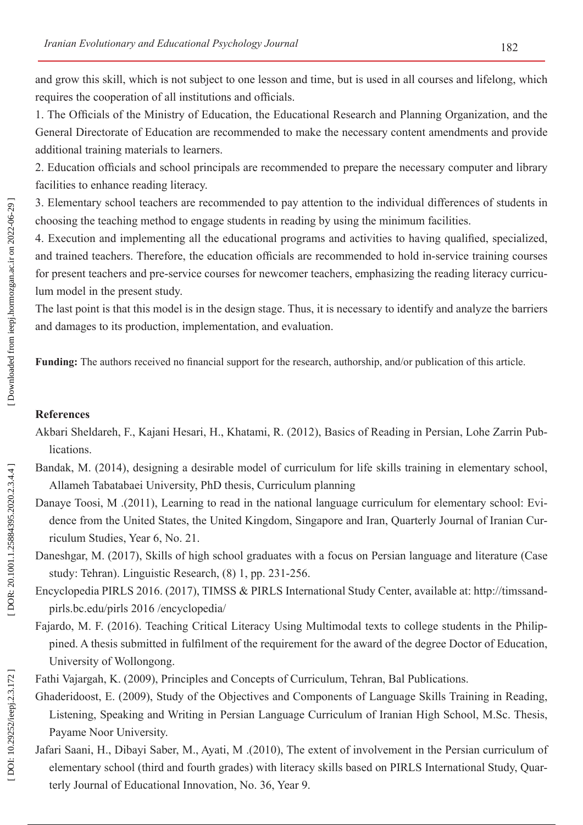and grow this skill, which is not subject to one lesson and time, but is used in all courses and lifelong, which requires the cooperation of all institutions and officials.

1. The Officials of the Ministry of Education, the Educational Research and Planning Organization, and the General Directorate of Education are recommended to make the necessary content amendments and provide additional training materials to learners.

2. Education officials and school principals are recommended to prepare the necessary computer and library facilities to enhance reading literacy.

3. Elementary school teachers are recommended to pay attention to the individual differences of students in choosing the teaching method to engage students in reading by using the minimum facilities.

4. Execution and implementing all the educational programs and activities to having qualified, specialized, and trained teachers. Therefore, the education officials are recommended to hold in-service training courses for present teachers and pre-service courses for newcomer teachers, emphasizing the reading literacy curriculum model in the present study.

The last point is that this model is in the design stage. Thus, it is necessary to identify and analyze the barriers and damages to its production, implementation, and evaluation.

**Funding:** The authors received no financial support for the research, authorship, and/or publication of this article.

# **References**

- Akbari Sheldareh, F., Kajani Hesari, H., Khatami, R. (2012), Basics of Reading in Persian, Lohe Zarrin Pub lications.
- Bandak, M. (2014), designing a desirable model of curriculum for life skills training in elementary school, Allameh Tabatabaei University, PhD thesis, Curriculum planning
- Danaye Toosi, M .(2011), Learning to read in the national language curriculum for elementary school: Evi dence from the United States, the United Kingdom, Singapore and Iran, Quarterly Journal of Iranian Cur riculum Studies, Year 6, No. 21.
- Daneshgar, M. (2017), Skills of high school graduates with a focus on Persian language and literature (Case study: Tehran). Linguistic Research, (8) 1, pp. 231-256.
- Encyclopedia PIRLS 2016. (2017), TIMSS & PIRLS International Study Center, available at: [http://timssand](http://timssandpirls.bc.edu/pirls 2016 /encyclopedia/) [pirls.bc.edu/pirls 2016 /encyclopedia/](http://timssandpirls.bc.edu/pirls 2016 /encyclopedia/)
- Fajardo, M. F. (2016). Teaching Critical Literacy Using Multimodal texts to college students in the Philip pined. A thesis submitted in fulfilment of the requirement for the award of the degree Doctor of Education, University of Wollongong.
- Fathi Vajargah, K. (2009), Principles and Concepts of Curriculum, Tehran, Bal Publications.
- Ghaderidoost, E. (2009), Study of the Objectives and Components of Language Skills Training in Reading, Listening, Speaking and Writing in Persian Language Curriculum of Iranian High School, M.Sc. Thesis, Payame Noor University.
- Jafari Saani, H., Dibayi Saber, M., Ayati, M .(2010), The extent of involvement in the Persian curriculum of elementary school (third and fourth grades) with literacy skills based on PIRLS International Study, Quar terly Journal of Educational Innovation, No. 36, Year 9.